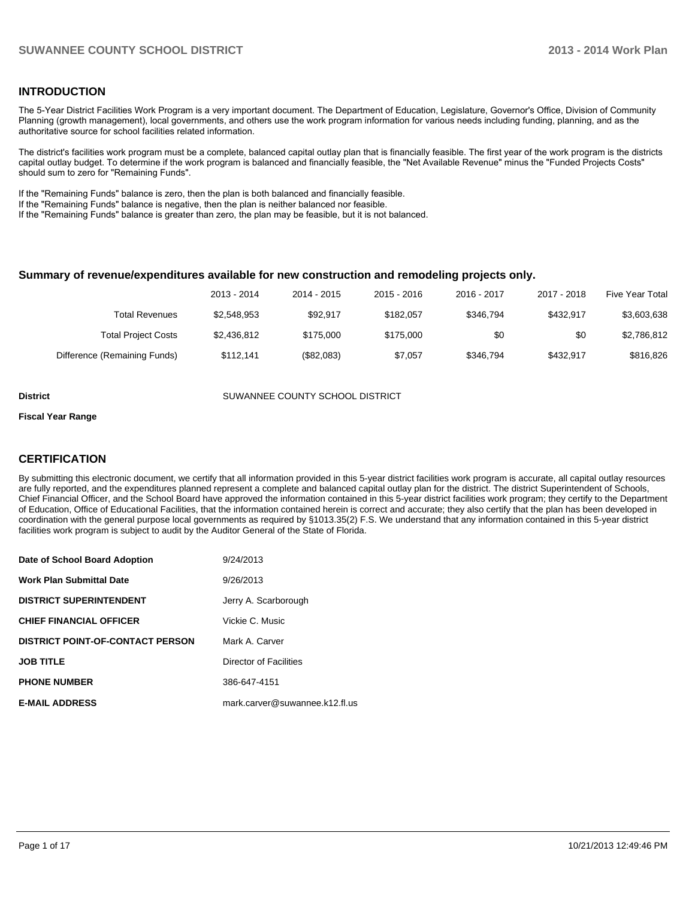#### **INTRODUCTION**

The 5-Year District Facilities Work Program is a very important document. The Department of Education, Legislature, Governor's Office, Division of Community Planning (growth management), local governments, and others use the work program information for various needs including funding, planning, and as the authoritative source for school facilities related information.

The district's facilities work program must be a complete, balanced capital outlay plan that is financially feasible. The first year of the work program is the districts capital outlay budget. To determine if the work program is balanced and financially feasible, the "Net Available Revenue" minus the "Funded Projects Costs" should sum to zero for "Remaining Funds".

If the "Remaining Funds" balance is zero, then the plan is both balanced and financially feasible.

If the "Remaining Funds" balance is negative, then the plan is neither balanced nor feasible.

If the "Remaining Funds" balance is greater than zero, the plan may be feasible, but it is not balanced.

#### **Summary of revenue/expenditures available for new construction and remodeling projects only.**

| Five Year Total | 2017 - 2018 | 2016 - 2017 | 2015 - 2016 | 2014 - 2015 | 2013 - 2014 |                              |
|-----------------|-------------|-------------|-------------|-------------|-------------|------------------------------|
| \$3,603,638     | \$432.917   | \$346.794   | \$182.057   | \$92.917    | \$2.548.953 | <b>Total Revenues</b>        |
| \$2,786,812     | \$0         | \$0         | \$175,000   | \$175,000   | \$2,436,812 | <b>Total Project Costs</b>   |
| \$816,826       | \$432.917   | \$346.794   | \$7.057     | (\$82,083)  | \$112.141   | Difference (Remaining Funds) |

**District COUNTY SUMANNEE COUNTY SCHOOL DISTRICT** 

#### **Fiscal Year Range**

#### **CERTIFICATION**

By submitting this electronic document, we certify that all information provided in this 5-year district facilities work program is accurate, all capital outlay resources are fully reported, and the expenditures planned represent a complete and balanced capital outlay plan for the district. The district Superintendent of Schools, Chief Financial Officer, and the School Board have approved the information contained in this 5-year district facilities work program; they certify to the Department of Education, Office of Educational Facilities, that the information contained herein is correct and accurate; they also certify that the plan has been developed in coordination with the general purpose local governments as required by §1013.35(2) F.S. We understand that any information contained in this 5-year district facilities work program is subject to audit by the Auditor General of the State of Florida.

| Date of School Board Adoption           | 9/24/2013                      |
|-----------------------------------------|--------------------------------|
| <b>Work Plan Submittal Date</b>         | 9/26/2013                      |
| <b>DISTRICT SUPERINTENDENT</b>          | Jerry A. Scarborough           |
| <b>CHIEF FINANCIAL OFFICER</b>          | Vickie C. Music                |
| <b>DISTRICT POINT-OF-CONTACT PERSON</b> | Mark A. Carver                 |
| <b>JOB TITLE</b>                        | Director of Facilities         |
| <b>PHONE NUMBER</b>                     | 386-647-4151                   |
| <b>E-MAIL ADDRESS</b>                   | mark.carver@suwannee.k12.fl.us |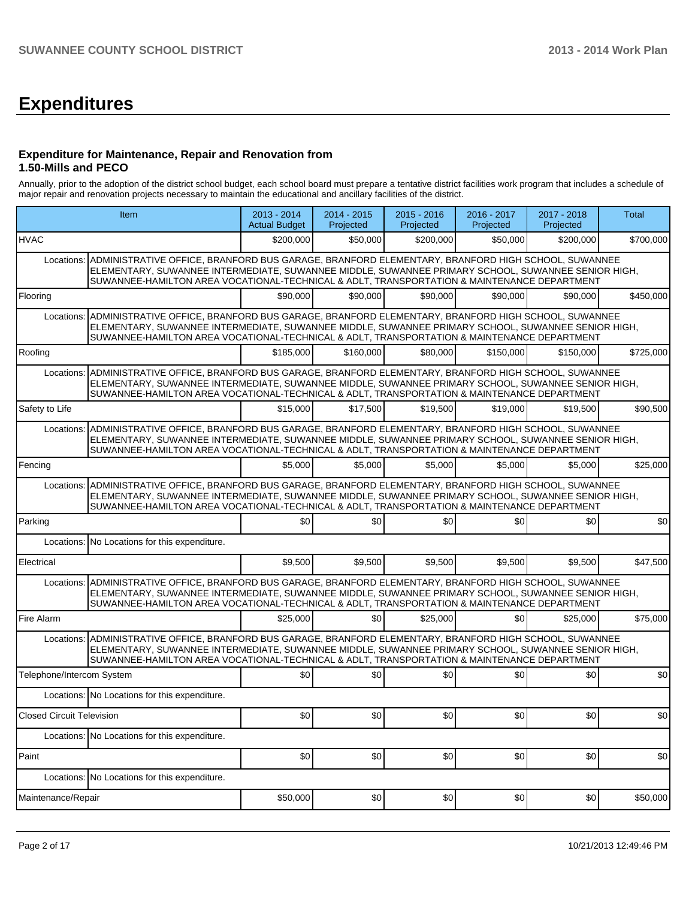## **Expenditures**

#### **Expenditure for Maintenance, Repair and Renovation from 1.50-Mills and PECO**

Annually, prior to the adoption of the district school budget, each school board must prepare a tentative district facilities work program that includes a schedule of major repair and renovation projects necessary to maintain the educational and ancillary facilities of the district.

|                                                                                                                                                                                                                                                                                                                    | Item                                                                                                                                                                                                                                                                                                            | 2013 - 2014<br><b>Actual Budget</b> | 2014 - 2015<br>Projected | 2015 - 2016<br>Projected | 2016 - 2017<br>Projected | 2017 - 2018<br>Projected | Total     |  |  |  |
|--------------------------------------------------------------------------------------------------------------------------------------------------------------------------------------------------------------------------------------------------------------------------------------------------------------------|-----------------------------------------------------------------------------------------------------------------------------------------------------------------------------------------------------------------------------------------------------------------------------------------------------------------|-------------------------------------|--------------------------|--------------------------|--------------------------|--------------------------|-----------|--|--|--|
| <b>HVAC</b>                                                                                                                                                                                                                                                                                                        |                                                                                                                                                                                                                                                                                                                 | \$200.000                           | \$50,000                 | \$200,000                | \$50,000                 | \$200,000                | \$700,000 |  |  |  |
| Locations:                                                                                                                                                                                                                                                                                                         | ADMINISTRATIVE OFFICE, BRANFORD BUS GARAGE, BRANFORD ELEMENTARY, BRANFORD HIGH SCHOOL, SUWANNEE<br>ELEMENTARY, SUWANNEE INTERMEDIATE, SUWANNEE MIDDLE, SUWANNEE PRIMARY SCHOOL, SUWANNEE SENIOR HIGH,<br>SUWANNEE-HAMILTON AREA VOCATIONAL-TECHNICAL & ADLT, TRANSPORTATION & MAINTENANCE DEPARTMENT            |                                     |                          |                          |                          |                          |           |  |  |  |
| Flooring                                                                                                                                                                                                                                                                                                           |                                                                                                                                                                                                                                                                                                                 | \$90,000                            | \$90,000                 | \$90,000                 | \$90,000                 | \$90,000                 | \$450,000 |  |  |  |
| Locations:                                                                                                                                                                                                                                                                                                         | ADMINISTRATIVE OFFICE, BRANFORD BUS GARAGE, BRANFORD ELEMENTARY, BRANFORD HIGH SCHOOL, SUWANNEE<br>ELEMENTARY, SUWANNEE INTERMEDIATE, SUWANNEE MIDDLE, SUWANNEE PRIMARY SCHOOL, SUWANNEE SENIOR HIGH,<br>SUWANNEE-HAMILTON AREA VOCATIONAL-TECHNICAL & ADLT, TRANSPORTATION & MAINTENANCE DEPARTMENT            |                                     |                          |                          |                          |                          |           |  |  |  |
| Roofing                                                                                                                                                                                                                                                                                                            |                                                                                                                                                                                                                                                                                                                 | \$185,000                           | \$160,000                | \$80,000                 | \$150,000                | \$150,000                | \$725,000 |  |  |  |
|                                                                                                                                                                                                                                                                                                                    | Locations: ADMINISTRATIVE OFFICE, BRANFORD BUS GARAGE, BRANFORD ELEMENTARY, BRANFORD HIGH SCHOOL, SUWANNEE<br>ELEMENTARY, SUWANNEE INTERMEDIATE, SUWANNEE MIDDLE, SUWANNEE PRIMARY SCHOOL, SUWANNEE SENIOR HIGH,<br>SUWANNEE-HAMILTON AREA VOCATIONAL-TECHNICAL & ADLT, TRANSPORTATION & MAINTENANCE DEPARTMENT |                                     |                          |                          |                          |                          |           |  |  |  |
| Safety to Life                                                                                                                                                                                                                                                                                                     |                                                                                                                                                                                                                                                                                                                 | \$15,000                            | \$17,500                 | \$19,500                 | \$19,000                 | \$19,500                 | \$90,500  |  |  |  |
| Locations:                                                                                                                                                                                                                                                                                                         | ADMINISTRATIVE OFFICE, BRANFORD BUS GARAGE, BRANFORD ELEMENTARY, BRANFORD HIGH SCHOOL, SUWANNEE<br>ELEMENTARY, SUWANNEE INTERMEDIATE, SUWANNEE MIDDLE, SUWANNEE PRIMARY SCHOOL, SUWANNEE SENIOR HIGH,<br>SUWANNEE-HAMILTON AREA VOCATIONAL-TECHNICAL & ADLT, TRANSPORTATION & MAINTENANCE DEPARTMENT            |                                     |                          |                          |                          |                          |           |  |  |  |
| Fencing                                                                                                                                                                                                                                                                                                            |                                                                                                                                                                                                                                                                                                                 | \$5,000                             | \$5,000                  | \$5,000                  | \$5,000                  | \$5,000                  | \$25,000  |  |  |  |
| ADMINISTRATIVE OFFICE, BRANFORD BUS GARAGE, BRANFORD ELEMENTARY, BRANFORD HIGH SCHOOL, SUWANNEE<br>Locations:<br>ELEMENTARY, SUWANNEE INTERMEDIATE, SUWANNEE MIDDLE, SUWANNEE PRIMARY SCHOOL, SUWANNEE SENIOR HIGH,<br>SUWANNEE-HAMILTON AREA VOCATIONAL-TECHNICAL & ADLT, TRANSPORTATION & MAINTENANCE DEPARTMENT |                                                                                                                                                                                                                                                                                                                 |                                     |                          |                          |                          |                          |           |  |  |  |
| Parking                                                                                                                                                                                                                                                                                                            |                                                                                                                                                                                                                                                                                                                 | \$0                                 | \$0                      | \$0                      | \$0                      | \$0                      | \$0       |  |  |  |
|                                                                                                                                                                                                                                                                                                                    | Locations: No Locations for this expenditure.                                                                                                                                                                                                                                                                   |                                     |                          |                          |                          |                          |           |  |  |  |
| Electrical                                                                                                                                                                                                                                                                                                         |                                                                                                                                                                                                                                                                                                                 | \$9,500                             | \$9,500                  | \$9,500                  | \$9,500                  | \$9,500                  | \$47,500  |  |  |  |
| Locations:                                                                                                                                                                                                                                                                                                         | ADMINISTRATIVE OFFICE, BRANFORD BUS GARAGE, BRANFORD ELEMENTARY, BRANFORD HIGH SCHOOL, SUWANNEE<br>ELEMENTARY, SUWANNEE INTERMEDIATE, SUWANNEE MIDDLE, SUWANNEE PRIMARY SCHOOL, SUWANNEE SENIOR HIGH,<br>SUWANNEE-HAMILTON AREA VOCATIONAL-TECHNICAL & ADLT, TRANSPORTATION & MAINTENANCE DEPARTMENT            |                                     |                          |                          |                          |                          |           |  |  |  |
| Fire Alarm                                                                                                                                                                                                                                                                                                         |                                                                                                                                                                                                                                                                                                                 | \$25,000                            | \$0                      | \$25,000                 | \$0                      | \$25,000                 | \$75,000  |  |  |  |
| Locations:                                                                                                                                                                                                                                                                                                         | ADMINISTRATIVE OFFICE, BRANFORD BUS GARAGE, BRANFORD ELEMENTARY, BRANFORD HIGH SCHOOL, SUWANNEE<br>ELEMENTARY, SUWANNEE INTERMEDIATE, SUWANNEE MIDDLE, SUWANNEE PRIMARY SCHOOL, SUWANNEE SENIOR HIGH,<br>SUWANNEE-HAMILTON AREA VOCATIONAL-TECHNICAL & ADLT, TRANSPORTATION & MAINTENANCE DEPARTMENT            |                                     |                          |                          |                          |                          |           |  |  |  |
| Telephone/Intercom System                                                                                                                                                                                                                                                                                          |                                                                                                                                                                                                                                                                                                                 | \$0                                 | \$0                      | \$0                      | \$0                      | \$0                      | \$0       |  |  |  |
|                                                                                                                                                                                                                                                                                                                    | Locations: No Locations for this expenditure.                                                                                                                                                                                                                                                                   |                                     |                          |                          |                          |                          |           |  |  |  |
| <b>Closed Circuit Television</b>                                                                                                                                                                                                                                                                                   |                                                                                                                                                                                                                                                                                                                 | \$0]                                | \$0]                     | \$0 <sub>1</sub>         | \$0 <sub>1</sub>         | \$0 <sub>1</sub>         | \$0       |  |  |  |
|                                                                                                                                                                                                                                                                                                                    | Locations: No Locations for this expenditure.                                                                                                                                                                                                                                                                   |                                     |                          |                          |                          |                          |           |  |  |  |
| Paint                                                                                                                                                                                                                                                                                                              |                                                                                                                                                                                                                                                                                                                 | \$0                                 | \$0                      | \$0                      | \$0                      | \$0                      | \$0       |  |  |  |
|                                                                                                                                                                                                                                                                                                                    | Locations: No Locations for this expenditure.                                                                                                                                                                                                                                                                   |                                     |                          |                          |                          |                          |           |  |  |  |
| Maintenance/Repair                                                                                                                                                                                                                                                                                                 |                                                                                                                                                                                                                                                                                                                 | \$50,000                            | \$0                      | \$0                      | \$0                      | \$0                      | \$50,000  |  |  |  |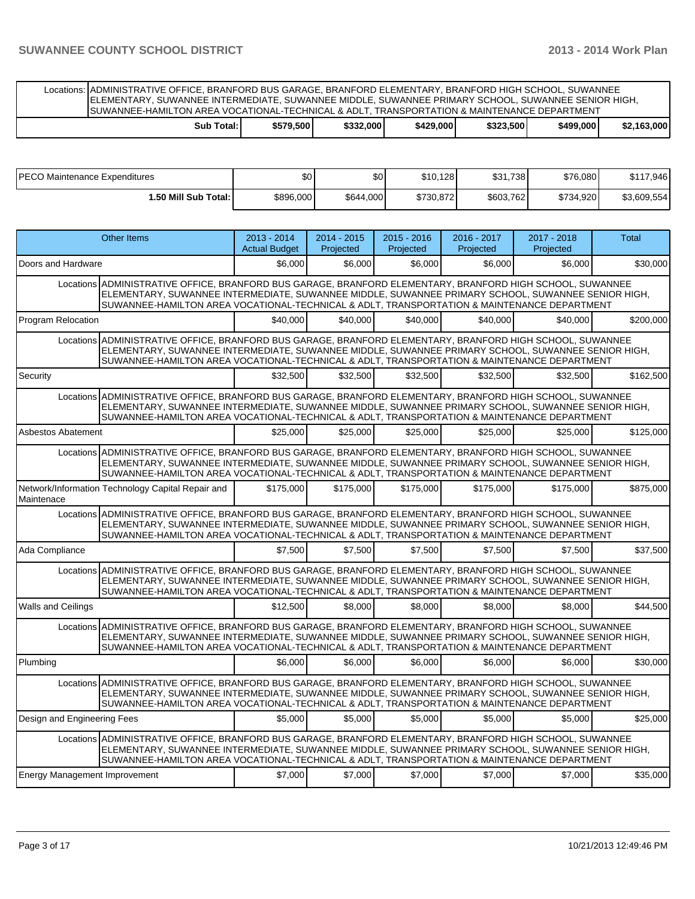Locations: ADMINISTRATIVE OFFICE, BRANFORD BUS GARAGE, BRANFORD ELEMENTARY, BRANFORD HIGH SCHOOL, SUWANNEE ELEMENTARY, SUWANNEE INTERMEDIATE, SUWANNEE MIDDLE, SUWANNEE PRIMARY SCHOOL, SUWANNEE SENIOR HIGH, SUWANNEE-HAMILTON AREA VOCATIONAL-TECHNICAL & ADLT, TRANSPORTATION & MAINTENANCE DEPARTMENT

| Total:<br>Sub | \$579.500 | \$332,000 | \$429,000 | \$323,500 | \$499,000 | \$2.163.000 |
|---------------|-----------|-----------|-----------|-----------|-----------|-------------|
|               |           |           |           |           |           |             |

| PECO Maintenance Expenditures | \$0       | \$0       | \$10,128  | \$31,738  | \$76,080  | \$117,946   |
|-------------------------------|-----------|-----------|-----------|-----------|-----------|-------------|
| 50 Mill Sub Total: I          | \$896,000 | \$644,000 | \$730,872 | \$603,762 | \$734,920 | \$3,609,554 |

|                                      | <b>Other Items</b>                                                                                                                                                                                                                                                                                             | $2013 - 2014$<br><b>Actual Budget</b> | $2014 - 2015$<br>Projected | $2015 - 2016$<br>Projected | 2016 - 2017<br>Projected | 2017 - 2018<br>Projected | <b>Total</b> |
|--------------------------------------|----------------------------------------------------------------------------------------------------------------------------------------------------------------------------------------------------------------------------------------------------------------------------------------------------------------|---------------------------------------|----------------------------|----------------------------|--------------------------|--------------------------|--------------|
| Doors and Hardware                   |                                                                                                                                                                                                                                                                                                                | \$6,000                               | \$6.000                    | \$6,000                    | \$6,000                  | \$6,000                  | \$30,000     |
|                                      | Locations ADMINISTRATIVE OFFICE, BRANFORD BUS GARAGE, BRANFORD ELEMENTARY, BRANFORD HIGH SCHOOL, SUWANNEE<br>ELEMENTARY, SUWANNEE INTERMEDIATE, SUWANNEE MIDDLE, SUWANNEE PRIMARY SCHOOL, SUWANNEE SENIOR HIGH,<br>SUWANNEE-HAMILTON AREA VOCATIONAL-TECHNICAL & ADLT, TRANSPORTATION & MAINTENANCE DEPARTMENT |                                       |                            |                            |                          |                          |              |
| Program Relocation                   |                                                                                                                                                                                                                                                                                                                | \$40,000                              | \$40,000                   | \$40,000                   | \$40,000                 | \$40,000                 | \$200,000    |
|                                      | Locations ADMINISTRATIVE OFFICE, BRANFORD BUS GARAGE, BRANFORD ELEMENTARY, BRANFORD HIGH SCHOOL, SUWANNEE<br>ELEMENTARY, SUWANNEE INTERMEDIATE, SUWANNEE MIDDLE, SUWANNEE PRIMARY SCHOOL, SUWANNEE SENIOR HIGH,<br>SUWANNEE-HAMILTON AREA VOCATIONAL-TECHNICAL & ADLT, TRANSPORTATION & MAINTENANCE DEPARTMENT |                                       |                            |                            |                          |                          |              |
| Security                             |                                                                                                                                                                                                                                                                                                                | \$32,500                              | \$32,500                   | \$32,500                   | \$32,500                 | \$32,500                 | \$162,500    |
|                                      | Locations ADMINISTRATIVE OFFICE. BRANFORD BUS GARAGE. BRANFORD ELEMENTARY. BRANFORD HIGH SCHOOL. SUWANNEE<br>ELEMENTARY, SUWANNEE INTERMEDIATE, SUWANNEE MIDDLE, SUWANNEE PRIMARY SCHOOL, SUWANNEE SENIOR HIGH,<br>SUWANNEE-HAMILTON AREA VOCATIONAL-TECHNICAL & ADLT, TRANSPORTATION & MAINTENANCE DEPARTMENT |                                       |                            |                            |                          |                          |              |
| Asbestos Abatement                   |                                                                                                                                                                                                                                                                                                                | \$25,000                              | \$25,000                   | \$25,000                   | \$25,000                 | \$25,000                 | \$125,000    |
|                                      | Locations ADMINISTRATIVE OFFICE, BRANFORD BUS GARAGE, BRANFORD ELEMENTARY, BRANFORD HIGH SCHOOL, SUWANNEE<br>ELEMENTARY, SUWANNEE INTERMEDIATE, SUWANNEE MIDDLE, SUWANNEE PRIMARY SCHOOL, SUWANNEE SENIOR HIGH,<br>SUWANNEE-HAMILTON AREA VOCATIONAL-TECHNICAL & ADLT, TRANSPORTATION & MAINTENANCE DEPARTMENT |                                       |                            |                            |                          |                          |              |
| Maintenace                           | Network/Information Technology Capital Repair and                                                                                                                                                                                                                                                              | \$175,000                             | \$175,000                  | \$175,000                  | \$175,000                | \$175,000                | \$875,000    |
|                                      | Locations ADMINISTRATIVE OFFICE, BRANFORD BUS GARAGE, BRANFORD ELEMENTARY, BRANFORD HIGH SCHOOL, SUWANNEE<br>ELEMENTARY, SUWANNEE INTERMEDIATE, SUWANNEE MIDDLE, SUWANNEE PRIMARY SCHOOL, SUWANNEE SENIOR HIGH,<br>SUWANNEE-HAMILTON AREA VOCATIONAL-TECHNICAL & ADLT, TRANSPORTATION & MAINTENANCE DEPARTMENT |                                       |                            |                            |                          |                          |              |
| Ada Compliance                       |                                                                                                                                                                                                                                                                                                                | \$7.500                               | \$7.500                    | \$7.500                    | \$7.500                  | \$7.500                  | \$37,500     |
|                                      | Locations ADMINISTRATIVE OFFICE, BRANFORD BUS GARAGE, BRANFORD ELEMENTARY, BRANFORD HIGH SCHOOL, SUWANNEE<br>ELEMENTARY, SUWANNEE INTERMEDIATE, SUWANNEE MIDDLE, SUWANNEE PRIMARY SCHOOL, SUWANNEE SENIOR HIGH,<br>SUWANNEE-HAMILTON AREA VOCATIONAL-TECHNICAL & ADLT, TRANSPORTATION & MAINTENANCE DEPARTMENT |                                       |                            |                            |                          |                          |              |
| <b>Walls and Ceilings</b>            |                                                                                                                                                                                                                                                                                                                | \$12.500                              | \$8,000                    | \$8.000                    | \$8,000                  | \$8,000                  | \$44.500     |
|                                      | Locations ADMINISTRATIVE OFFICE, BRANFORD BUS GARAGE, BRANFORD ELEMENTARY, BRANFORD HIGH SCHOOL, SUWANNEE<br>ELEMENTARY, SUWANNEE INTERMEDIATE, SUWANNEE MIDDLE, SUWANNEE PRIMARY SCHOOL, SUWANNEE SENIOR HIGH,<br>SUWANNEE-HAMILTON AREA VOCATIONAL-TECHNICAL & ADLT, TRANSPORTATION & MAINTENANCE DEPARTMENT |                                       |                            |                            |                          |                          |              |
| Plumbing                             |                                                                                                                                                                                                                                                                                                                | \$6,000                               | \$6,000                    | \$6,000                    | \$6,000                  | \$6,000                  | \$30,000     |
|                                      | Locations ADMINISTRATIVE OFFICE, BRANFORD BUS GARAGE, BRANFORD ELEMENTARY, BRANFORD HIGH SCHOOL, SUWANNEE<br>ELEMENTARY, SUWANNEE INTERMEDIATE, SUWANNEE MIDDLE, SUWANNEE PRIMARY SCHOOL, SUWANNEE SENIOR HIGH,<br>SUWANNEE-HAMILTON AREA VOCATIONAL-TECHNICAL & ADLT, TRANSPORTATION & MAINTENANCE DEPARTMENT |                                       |                            |                            |                          |                          |              |
| Design and Engineering Fees          |                                                                                                                                                                                                                                                                                                                | \$5,000                               | \$5,000                    | \$5,000                    | \$5,000                  | \$5,000                  | \$25,000     |
|                                      | Locations ADMINISTRATIVE OFFICE. BRANFORD BUS GARAGE. BRANFORD ELEMENTARY. BRANFORD HIGH SCHOOL. SUWANNEE<br>ELEMENTARY, SUWANNEE INTERMEDIATE, SUWANNEE MIDDLE, SUWANNEE PRIMARY SCHOOL, SUWANNEE SENIOR HIGH,<br>SUWANNEE-HAMILTON AREA VOCATIONAL-TECHNICAL & ADLT, TRANSPORTATION & MAINTENANCE DEPARTMENT |                                       |                            |                            |                          |                          |              |
| <b>Energy Management Improvement</b> |                                                                                                                                                                                                                                                                                                                | \$7,000                               | \$7,000                    | \$7,000                    | \$7,000                  | \$7,000                  | \$35,000     |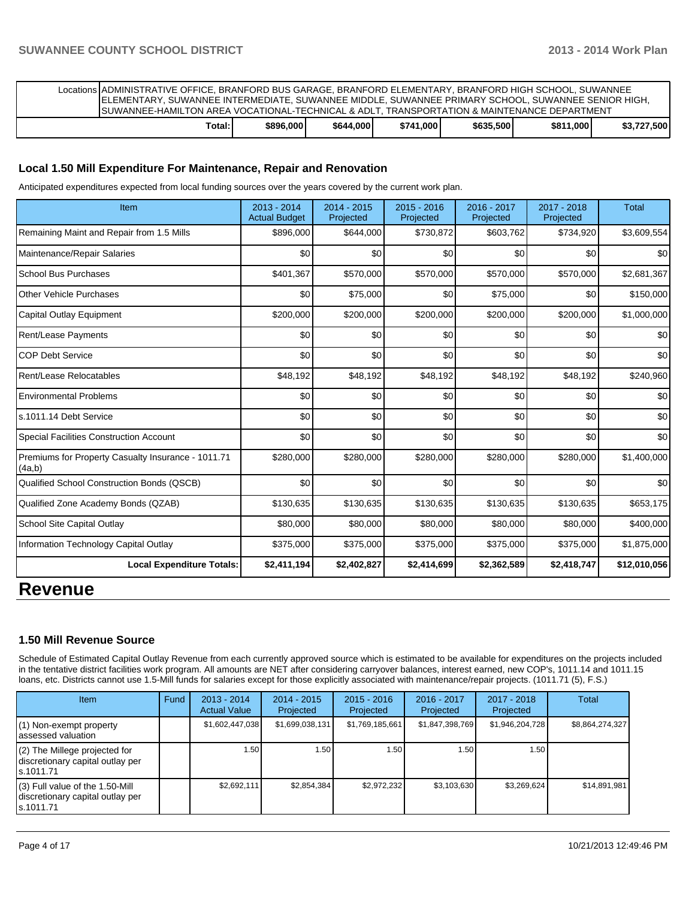| Locations ADMINISTRATIVE OFFICE, BRANFORD BUS GARAGE, BRANFORD ELEMENTARY, BRANFORD HIGH SCHOOL, SUWANNEE<br>ELEMENTARY, SUWANNEE INTERMEDIATE, SUWANNEE MIDDLE, SUWANNEE PRIMARY SCHOOL, SUWANNEE SENIOR HIGH,<br>ISUWANNEE-HAMILTON AREA VOCATIONAL-TECHNICAL & ADLT. TRANSPORTATION & MAINTENANCE DEPARTMENT |           |           |           |           |           |             |
|-----------------------------------------------------------------------------------------------------------------------------------------------------------------------------------------------------------------------------------------------------------------------------------------------------------------|-----------|-----------|-----------|-----------|-----------|-------------|
| Total:                                                                                                                                                                                                                                                                                                          | \$896,000 | \$644,000 | \$741.000 | \$635,500 | \$811,000 | \$3.727.500 |

#### **Local 1.50 Mill Expenditure For Maintenance, Repair and Renovation**

Anticipated expenditures expected from local funding sources over the years covered by the current work plan.

| Item                                                         | $2013 - 2014$<br><b>Actual Budget</b> | 2014 - 2015<br>Projected | $2015 - 2016$<br>Projected | 2016 - 2017<br>Projected | 2017 - 2018<br>Projected | <b>Total</b> |
|--------------------------------------------------------------|---------------------------------------|--------------------------|----------------------------|--------------------------|--------------------------|--------------|
| Remaining Maint and Repair from 1.5 Mills                    | \$896,000                             | \$644,000                | \$730,872                  | \$603,762                | \$734,920                | \$3,609,554  |
| Maintenance/Repair Salaries                                  | \$0                                   | \$0                      | \$0                        | \$0                      | \$0                      | \$0          |
| <b>School Bus Purchases</b>                                  | \$401,367                             | \$570,000                | \$570,000                  | \$570,000                | \$570,000                | \$2,681,367  |
| Other Vehicle Purchases                                      | \$0                                   | \$75,000                 | \$0                        | \$75,000                 | \$0                      | \$150,000    |
| Capital Outlay Equipment                                     | \$200,000                             | \$200,000                | \$200,000                  | \$200,000                | \$200,000                | \$1,000,000  |
| Rent/Lease Payments                                          | \$0                                   | \$0                      | \$0                        | \$0                      | \$0                      | \$0          |
| <b>COP Debt Service</b>                                      | \$0                                   | \$0                      | \$0                        | \$0                      | \$0                      | \$0          |
| Rent/Lease Relocatables                                      | \$48,192                              | \$48,192                 | \$48,192                   | \$48,192                 | \$48,192                 | \$240,960    |
| <b>Environmental Problems</b>                                | \$0                                   | \$0                      | \$0                        | \$0                      | \$0                      | \$0          |
| s.1011.14 Debt Service                                       | \$0                                   | \$0                      | \$0                        | \$0                      | \$0                      | \$0          |
| <b>Special Facilities Construction Account</b>               | \$0                                   | \$0                      | \$0                        | \$0                      | \$0                      | \$0          |
| Premiums for Property Casualty Insurance - 1011.71<br>(4a,b) | \$280,000                             | \$280,000                | \$280,000                  | \$280,000                | \$280,000                | \$1,400,000  |
| Qualified School Construction Bonds (QSCB)                   | \$0                                   | \$0                      | \$0                        | \$0                      | \$0                      | \$0          |
| Qualified Zone Academy Bonds (QZAB)                          | \$130,635                             | \$130,635                | \$130,635                  | \$130,635                | \$130,635                | \$653,175    |
| School Site Capital Outlay                                   | \$80,000                              | \$80,000                 | \$80,000                   | \$80,000                 | \$80,000                 | \$400,000    |
| Information Technology Capital Outlay                        | \$375,000                             | \$375,000                | \$375,000                  | \$375,000                | \$375,000                | \$1,875,000  |
| <b>Local Expenditure Totals:</b>                             | \$2,411,194                           | \$2,402,827              | \$2,414,699                | \$2,362,589              | \$2,418,747              | \$12,010,056 |

### **Revenue**

#### **1.50 Mill Revenue Source**

Schedule of Estimated Capital Outlay Revenue from each currently approved source which is estimated to be available for expenditures on the projects included in the tentative district facilities work program. All amounts are NET after considering carryover balances, interest earned, new COP's, 1011.14 and 1011.15 loans, etc. Districts cannot use 1.5-Mill funds for salaries except for those explicitly associated with maintenance/repair projects. (1011.71 (5), F.S.)

| Item                                                                                | <b>Fund</b> | 2013 - 2014<br><b>Actual Value</b> | $2014 - 2015$<br>Projected | $2015 - 2016$<br>Projected | $2016 - 2017$<br>Projected | 2017 - 2018<br>Projected | Total           |
|-------------------------------------------------------------------------------------|-------------|------------------------------------|----------------------------|----------------------------|----------------------------|--------------------------|-----------------|
| (1) Non-exempt property<br>assessed valuation                                       |             | \$1,602,447,038                    | \$1,699,038,131            | \$1,769,185,661            | \$1,847,398,769            | \$1,946,204,728          | \$8,864,274,327 |
| $(2)$ The Millege projected for<br>discretionary capital outlay per<br>ls.1011.71   |             | 1.50 l                             | l.50 l                     | 1.50                       | 1.50                       | 1.50                     |                 |
| $(3)$ Full value of the 1.50-Mill<br>discretionary capital outlay per<br>ls.1011.71 |             | \$2,692,111                        | \$2,854,384                | \$2,972,232                | \$3,103,630                | \$3,269,624              | \$14,891,981    |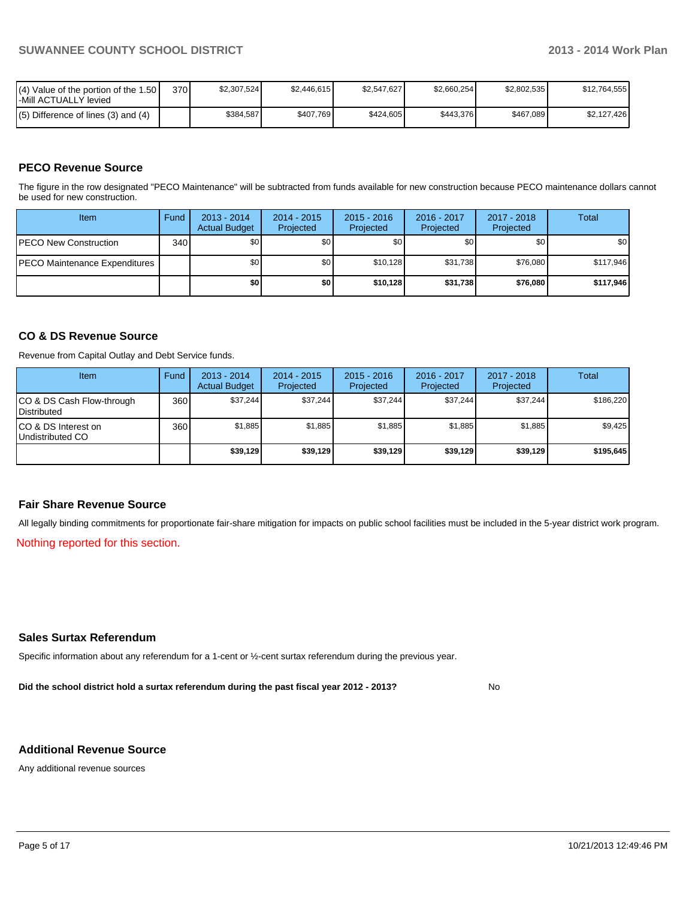| $\mathsf{I}(\mathsf{4})$ Value of the portion of the 1.50 $\mathsf{I}$<br>-Mill ACTUALLY levied | 370 | \$2.307.524 | \$2.446.615 | \$2.547.627 | \$2.660.254 | \$2.802.535 | \$12.764.555 |
|-------------------------------------------------------------------------------------------------|-----|-------------|-------------|-------------|-------------|-------------|--------------|
| $(5)$ Difference of lines (3) and (4)                                                           |     | \$384.587   | \$407.769   | \$424,605   | \$443.376   | \$467.089   | \$2.127.426  |

#### **PECO Revenue Source**

The figure in the row designated "PECO Maintenance" will be subtracted from funds available for new construction because PECO maintenance dollars cannot be used for new construction.

| Item                                 | Fund | $2013 - 2014$<br><b>Actual Budget</b> | $2014 - 2015$<br>Projected | $2015 - 2016$<br>Projected | 2016 - 2017<br>Projected | 2017 - 2018<br>Projected | <b>Total</b> |
|--------------------------------------|------|---------------------------------------|----------------------------|----------------------------|--------------------------|--------------------------|--------------|
| <b>IPECO New Construction</b>        | 340  | \$0                                   | \$0                        | \$0                        | \$0                      | \$0                      | \$0          |
| <b>PECO Maintenance Expenditures</b> |      | \$0                                   | \$0                        | \$10.128                   | \$31.738                 | \$76,080                 | \$117,946    |
|                                      |      | \$0                                   | \$0                        | \$10.128                   | \$31.738                 | \$76,080                 | \$117,946    |

#### **CO & DS Revenue Source**

Revenue from Capital Outlay and Debt Service funds.

| <b>Item</b>                                     | Fund | 2013 - 2014<br><b>Actual Budget</b> | $2014 - 2015$<br>Projected | $2015 - 2016$<br>Projected | $2016 - 2017$<br>Projected | $2017 - 2018$<br>Projected | Total     |
|-------------------------------------------------|------|-------------------------------------|----------------------------|----------------------------|----------------------------|----------------------------|-----------|
| CO & DS Cash Flow-through<br><b>Distributed</b> | 360  | \$37.244                            | \$37,244                   | \$37.244                   | \$37.244                   | \$37,244                   | \$186,220 |
| CO & DS Interest on<br>Undistributed CO         | 360  | \$1,885                             | \$1,885                    | \$1,885                    | \$1.885                    | \$1,885                    | \$9.425   |
|                                                 |      | \$39,129                            | \$39,129                   | \$39,129                   | \$39,129                   | \$39,129                   | \$195,645 |

#### **Fair Share Revenue Source**

All legally binding commitments for proportionate fair-share mitigation for impacts on public school facilities must be included in the 5-year district work program.

Nothing reported for this section.

#### **Sales Surtax Referendum**

Specific information about any referendum for a 1-cent or ½-cent surtax referendum during the previous year.

**Did the school district hold a surtax referendum during the past fiscal year 2012 - 2013?**

No

#### **Additional Revenue Source**

Any additional revenue sources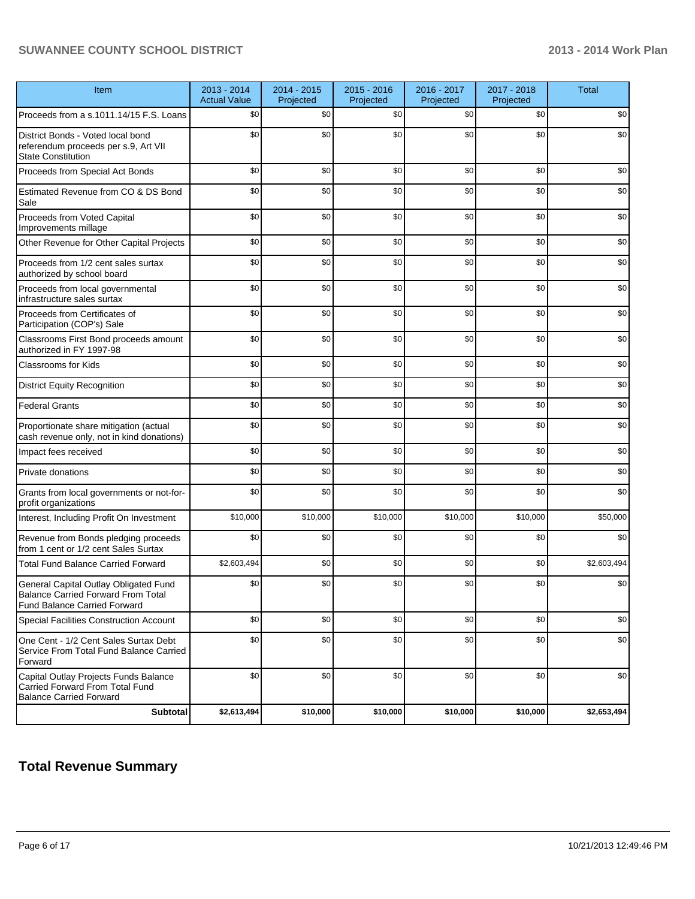#### **SUWANNEE COUNTY SCHOOL DISTRICT 2013 - 2014 Work Plan**

| Item                                                                                                                      | 2013 - 2014<br><b>Actual Value</b> | 2014 - 2015<br>Projected | 2015 - 2016<br>Projected | 2016 - 2017<br>Projected | 2017 - 2018<br>Projected | <b>Total</b> |
|---------------------------------------------------------------------------------------------------------------------------|------------------------------------|--------------------------|--------------------------|--------------------------|--------------------------|--------------|
| Proceeds from a s.1011.14/15 F.S. Loans                                                                                   | \$0                                | \$0                      | \$0                      | \$0                      | \$0                      | \$0          |
| District Bonds - Voted local bond<br>referendum proceeds per s.9, Art VII<br><b>State Constitution</b>                    | \$0                                | \$0                      | \$0                      | \$0                      | \$0                      | \$0          |
| Proceeds from Special Act Bonds                                                                                           | \$0                                | \$0                      | \$0                      | \$0                      | \$0                      | \$0          |
| Estimated Revenue from CO & DS Bond<br>Sale                                                                               | \$0                                | \$0                      | \$0                      | \$0                      | \$0                      | \$0          |
| Proceeds from Voted Capital<br>Improvements millage                                                                       | \$0                                | \$0                      | \$0                      | \$0                      | \$0                      | \$0          |
| Other Revenue for Other Capital Projects                                                                                  | \$0                                | \$0                      | \$0                      | \$0                      | \$0                      | \$0          |
| Proceeds from 1/2 cent sales surtax<br>authorized by school board                                                         | \$0                                | \$0                      | \$0                      | \$0                      | \$0                      | \$0          |
| Proceeds from local governmental<br>infrastructure sales surtax                                                           | \$0                                | \$0                      | \$0                      | \$0                      | \$0                      | \$0          |
| Proceeds from Certificates of<br>Participation (COP's) Sale                                                               | \$0                                | \$0                      | \$0                      | \$0                      | \$0                      | \$0          |
| Classrooms First Bond proceeds amount<br>authorized in FY 1997-98                                                         | \$0                                | \$0                      | \$0                      | \$0                      | \$0                      | \$0          |
| <b>Classrooms for Kids</b>                                                                                                | \$0                                | \$0                      | \$0                      | \$0                      | \$0                      | \$0          |
| <b>District Equity Recognition</b>                                                                                        | \$0                                | \$0                      | \$0                      | \$0                      | \$0                      | \$0          |
| <b>Federal Grants</b>                                                                                                     | \$0                                | \$0                      | \$0                      | \$0                      | \$0                      | \$0          |
| Proportionate share mitigation (actual<br>cash revenue only, not in kind donations)                                       | \$0                                | \$0                      | \$0                      | \$0                      | \$0                      | \$0          |
| Impact fees received                                                                                                      | \$0                                | \$0                      | \$0                      | \$0                      | \$0                      | \$0          |
| Private donations                                                                                                         | \$0                                | \$0                      | \$0                      | \$0                      | \$0                      | \$0          |
| Grants from local governments or not-for-<br>profit organizations                                                         | \$0                                | \$0                      | \$0                      | \$0                      | \$0                      | \$0          |
| Interest, Including Profit On Investment                                                                                  | \$10,000                           | \$10,000                 | \$10,000                 | \$10,000                 | \$10,000                 | \$50,000     |
| Revenue from Bonds pledging proceeds<br>from 1 cent or 1/2 cent Sales Surtax                                              | \$0                                | \$0                      | \$0                      | \$0                      | \$0                      | \$0          |
| <b>Total Fund Balance Carried Forward</b>                                                                                 | \$2,603,494                        | \$0                      | \$0                      | \$0                      | \$0                      | \$2,603,494  |
| General Capital Outlay Obligated Fund<br><b>Balance Carried Forward From Total</b><br><b>Fund Balance Carried Forward</b> | \$0                                | \$0                      | \$0                      | \$0                      | \$0                      | \$0          |
| Special Facilities Construction Account                                                                                   | \$0                                | \$0                      | \$0                      | \$0                      | \$0                      | \$0          |
| One Cent - 1/2 Cent Sales Surtax Debt<br>Service From Total Fund Balance Carried<br>Forward                               | \$0                                | \$0                      | \$0                      | \$0                      | \$0                      | \$0          |
| Capital Outlay Projects Funds Balance<br>Carried Forward From Total Fund<br>Balance Carried Forward                       | \$0                                | \$0                      | \$0                      | \$0                      | \$0                      | \$0          |
| Subtotal                                                                                                                  | \$2,613,494                        | \$10,000                 | \$10,000                 | \$10,000                 | \$10,000                 | \$2,653,494  |

## **Total Revenue Summary**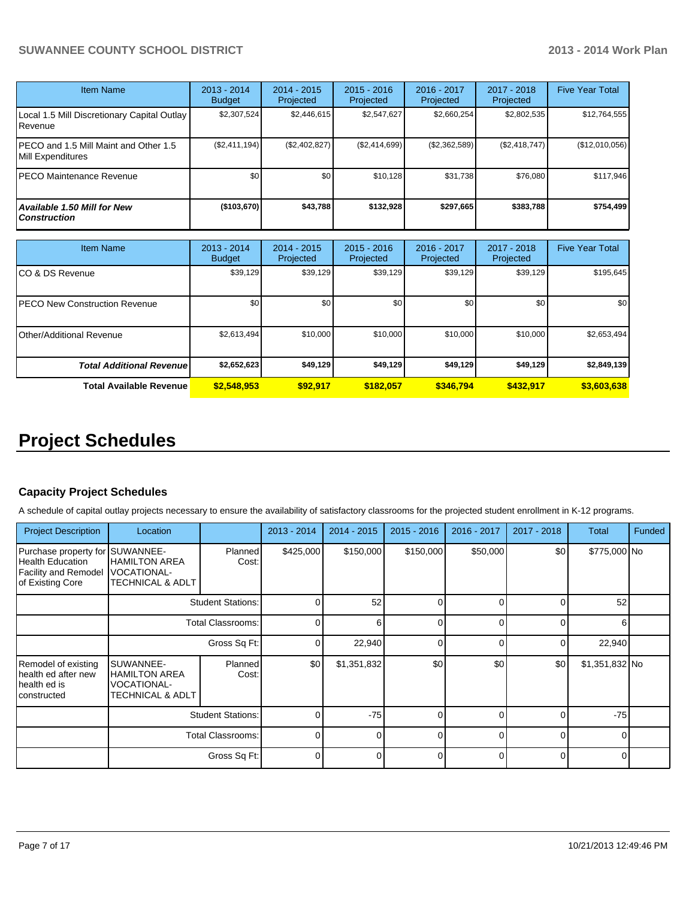#### **SUWANNEE COUNTY SCHOOL DISTRICT 2013 - 2014 Work Plan**

| Item Name                                                    | $2013 - 2014$<br><b>Budget</b> | $2014 - 2015$<br>Projected | $2015 - 2016$<br><b>Projected</b> | $2016 - 2017$<br>Projected | 2017 - 2018<br>Projected | <b>Five Year Total</b> |
|--------------------------------------------------------------|--------------------------------|----------------------------|-----------------------------------|----------------------------|--------------------------|------------------------|
| Local 1.5 Mill Discretionary Capital Outlay<br>l Revenue     | \$2,307,524                    | \$2,446,615                | \$2,547,627                       | \$2,660,254                | \$2,802,535              | \$12,764,555           |
| IPECO and 1.5 Mill Maint and Other 1.5<br>IMill Expenditures | (S2, 411, 194)                 | (\$2,402,827)              | (S2, 414, 699)                    | (S2, 362, 589)             | (S2, 418, 747)           | (\$12,010,056)         |
| IPECO Maintenance Revenue                                    | \$0                            | \$0                        | \$10.128                          | \$31,738                   | \$76,080                 | \$117,946              |
| Available 1.50 Mill for New l<br>l Construction              | (\$103,670)                    | \$43,788                   | \$132.928                         | \$297,665                  | \$383,788                | \$754,499              |

| Item Name                            | 2013 - 2014<br><b>Budget</b> | $2014 - 2015$<br>Projected | $2015 - 2016$<br>Projected | $2016 - 2017$<br>Projected | $2017 - 2018$<br>Projected | <b>Five Year Total</b> |
|--------------------------------------|------------------------------|----------------------------|----------------------------|----------------------------|----------------------------|------------------------|
| CO & DS Revenue                      | \$39,129                     | \$39,129                   | \$39,129                   | \$39,129                   | \$39,129                   | \$195,645              |
| <b>PECO New Construction Revenue</b> | \$0                          | \$0                        | \$0                        | \$0                        | \$0                        | \$0 <sub>1</sub>       |
| Other/Additional Revenue             | \$2,613,494                  | \$10,000                   | \$10,000                   | \$10,000                   | \$10,000                   | \$2,653,494            |
| <b>Total Additional Revenuel</b>     | \$2,652,623                  | \$49,129                   | \$49,129                   | \$49,129                   | \$49,129                   | \$2,849,139            |
| <b>Total Available Revenue</b>       | \$2,548,953                  | \$92.917                   | \$182.057                  | \$346.794                  | \$432.917                  | \$3,603,638            |

## **Project Schedules**

#### **Capacity Project Schedules**

A schedule of capital outlay projects necessary to ensure the availability of satisfactory classrooms for the projected student enrollment in K-12 programs.

| <b>Project Description</b>                                                                             | Location                                                                               |                         | $2013 - 2014$ | $2014 - 2015$ | $2015 - 2016$ | 2016 - 2017 | $2017 - 2018$ | <b>Total</b>   | Funded |
|--------------------------------------------------------------------------------------------------------|----------------------------------------------------------------------------------------|-------------------------|---------------|---------------|---------------|-------------|---------------|----------------|--------|
| Purchase property for SUWANNEE-<br>Health Education<br><b>Facility and Remodel</b><br>of Existing Core | <b>HAMILTON AREA</b><br><b>VOCATIONAL-</b><br><b>TECHNICAL &amp; ADLT</b>              | <b>Planned</b><br>Cost: | \$425,000     | \$150,000     | \$150,000     | \$50,000    | \$0           | \$775,000 No   |        |
|                                                                                                        | <b>Student Stations:</b>                                                               |                         | 0             | 52            | U             |             |               | 52             |        |
|                                                                                                        | <b>Total Classrooms:</b><br>Gross Sq Ft:                                               |                         | 0             | ี             |               |             |               |                |        |
|                                                                                                        |                                                                                        |                         | 0             | 22,940        | 0             |             |               | 22,940         |        |
| Remodel of existing<br>health ed after new<br>health ed is<br>Iconstructed                             | SUWANNEE-<br><b>HAMILTON AREA</b><br><b>VOCATIONAL-</b><br><b>TECHNICAL &amp; ADLT</b> | Planned<br>Cost:        | \$0           | \$1,351,832   | \$0           | \$0         | \$0           | \$1,351,832 No |        |
|                                                                                                        | <b>Student Stations:</b>                                                               |                         | 0             | $-75$         |               |             |               | $-75$          |        |
|                                                                                                        | <b>Total Classrooms:</b>                                                               |                         | 0             |               | 0             |             |               |                |        |
|                                                                                                        |                                                                                        | Gross Sq Ft:            | 0             |               |               |             |               |                |        |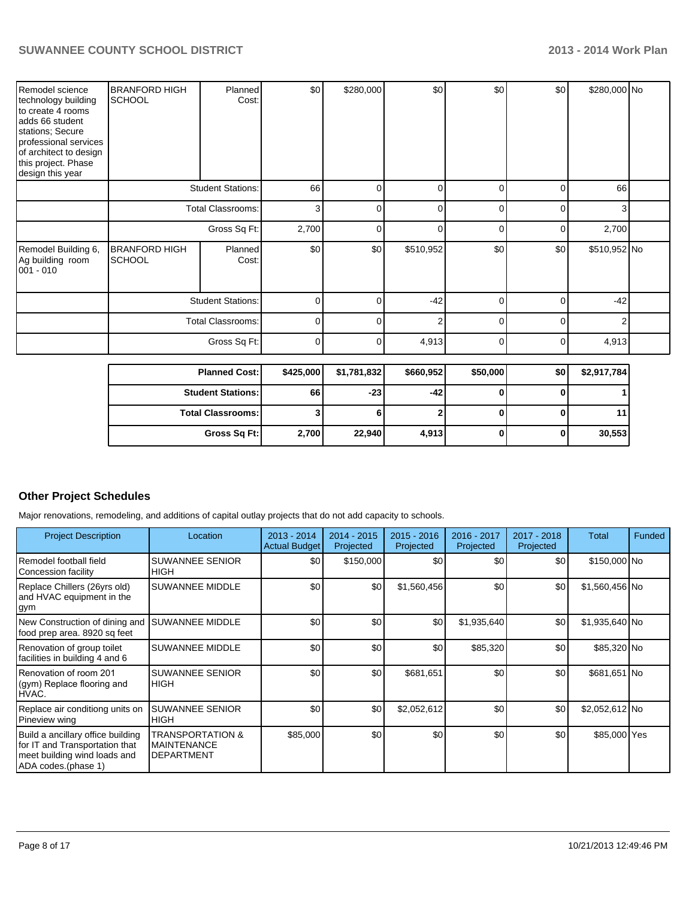| Remodel science<br>technology building<br>to create 4 rooms<br>adds 66 student<br>stations; Secure<br>professional services<br>of architect to design<br>this project. Phase<br>design this year | <b>BRANFORD HIGH</b><br><b>SCHOOL</b> | Planned<br>Cost:     | \$0       | \$280,000   | \$0       | \$0      | \$0      | \$280,000 No |  |
|--------------------------------------------------------------------------------------------------------------------------------------------------------------------------------------------------|---------------------------------------|----------------------|-----------|-------------|-----------|----------|----------|--------------|--|
|                                                                                                                                                                                                  | <b>Student Stations:</b>              |                      | 66        | 0           | 0         | 0        | $\Omega$ | 66           |  |
|                                                                                                                                                                                                  | <b>Total Classrooms:</b>              |                      | 3         | $\Omega$    | $\Omega$  | $\Omega$ | $\Omega$ | 3            |  |
|                                                                                                                                                                                                  | Gross Sq Ft:                          |                      | 2,700     | 0           | $\Omega$  | 0        | $\Omega$ | 2,700        |  |
| Remodel Building 6,<br>Ag building room<br>001 - 010                                                                                                                                             | <b>BRANFORD HIGH</b><br><b>SCHOOL</b> | Planned<br>Cost:     | \$0       | \$0         | \$510,952 | \$0      | \$0      | \$510,952 No |  |
|                                                                                                                                                                                                  | <b>Student Stations:</b>              |                      | O         | n           | $-42$     | $\Omega$ | $\Omega$ | $-42$        |  |
|                                                                                                                                                                                                  | <b>Total Classrooms:</b>              |                      | 0         | n           | 2         | $\Omega$ | $\Omega$ | 2            |  |
|                                                                                                                                                                                                  | Gross Sq Ft:                          |                      | 0         | U           | 4,913     | 0        | $\Omega$ | 4,913        |  |
|                                                                                                                                                                                                  |                                       | <b>Planned Cost:</b> | \$425,000 | \$1,781,832 | \$660,952 | \$50,000 | \$0      | \$2,917,784  |  |

| <b>Planned Cost:</b>     | \$425,0001 | \$1,781,8321 | \$660,9521 | \$50,0001 | <b>SO</b> 1 | \$2,917,784 |
|--------------------------|------------|--------------|------------|-----------|-------------|-------------|
| <b>Student Stations:</b> | 66         | $-23$        | -42        |           |             |             |
| <b>Total Classrooms:</b> |            |              |            |           |             |             |
| Gross Sq Ft:             | 2,700      | 22,940       | 4,913      |           |             | 30,553      |

#### **Other Project Schedules**

Major renovations, remodeling, and additions of capital outlay projects that do not add capacity to schools.

| <b>Project Description</b>                                                                                                 | Location                                                    | $2013 - 2014$<br><b>Actual Budget</b> | $2014 - 2015$<br>Projected | $2015 - 2016$<br>Projected | 2016 - 2017<br>Projected | 2017 - 2018<br>Projected | Total           | Funded |
|----------------------------------------------------------------------------------------------------------------------------|-------------------------------------------------------------|---------------------------------------|----------------------------|----------------------------|--------------------------|--------------------------|-----------------|--------|
| Remodel football field<br>Concession facility                                                                              | <b>SUWANNEE SENIOR</b><br><b>HIGH</b>                       | \$0 <sub>1</sub>                      | \$150,000                  | \$0                        | \$0                      | \$0                      | \$150,000 No    |        |
| Replace Chillers (26yrs old)<br>and HVAC equipment in the<br>gym                                                           | <b>SUWANNEE MIDDLE</b>                                      | \$0                                   | \$0                        | \$1,560,456                | \$0                      | \$0                      | $$1,560,456$ No |        |
| New Construction of dining and<br>food prep area. 8920 sq feet                                                             | <b>SUWANNEE MIDDLE</b>                                      | \$0                                   | \$0                        | \$0                        | \$1,935,640              | \$0                      | \$1,935,640 No  |        |
| Renovation of group toilet<br>facilities in building 4 and 6                                                               | <b>SUWANNEE MIDDLE</b>                                      | \$0                                   | \$0                        | \$0                        | \$85,320                 | \$0                      | \$85,320 No     |        |
| Renovation of room 201<br>(gym) Replace flooring and<br>HVAC.                                                              | <b>SUWANNEE SENIOR</b><br><b>I</b> HIGH                     | \$0                                   | \$0                        | \$681,651                  | \$0                      | \$0                      | \$681,651 No    |        |
| Replace air conditiong units on<br>Pineview wing                                                                           | <b>SUWANNEE SENIOR</b><br><b>HIGH</b>                       | \$0                                   | \$0                        | \$2,052,612                | \$0                      | \$0                      | \$2,052,612 No  |        |
| Build a ancillary office building<br>for IT and Transportation that<br>meet building wind loads and<br>ADA codes.(phase 1) | TRANSPORTATION &<br><b>MAINTENANCE</b><br><b>DEPARTMENT</b> | \$85,000                              | \$0                        | \$0                        | \$0                      | \$0                      | \$85,000 Yes    |        |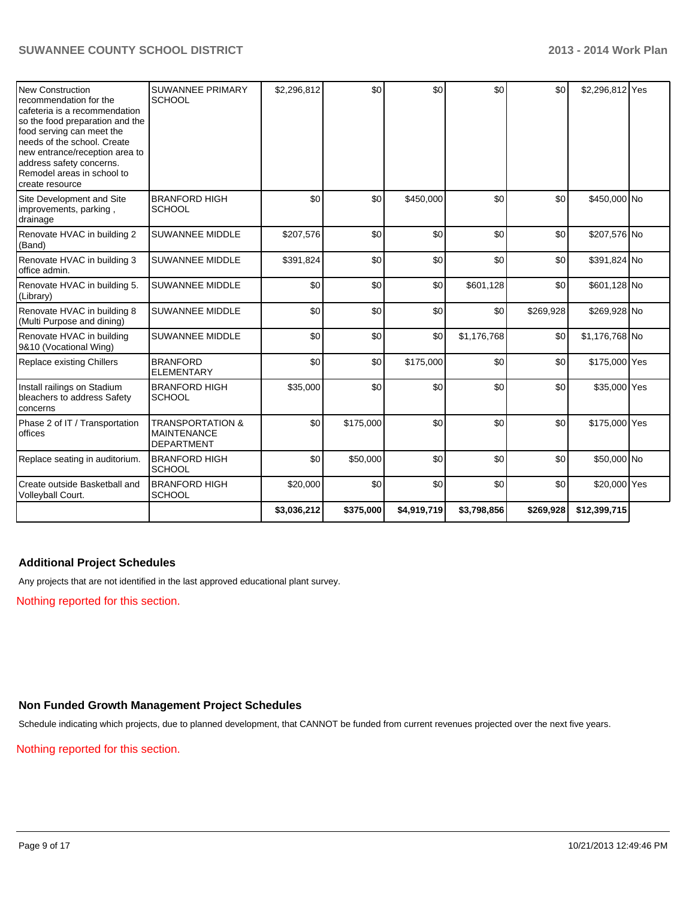| New Construction<br>recommendation for the<br>cafeteria is a recommendation<br>so the food preparation and the<br>food serving can meet the<br>needs of the school. Create<br>new entrance/reception area to<br>address safety concerns.<br>Remodel areas in school to<br>create resource | <b>SUWANNEE PRIMARY</b><br><b>SCHOOL</b>                               | \$2,296,812 | $\mathcal{S}$ | \$0         | \$0         | \$0       | \$2,296,812 Yes |  |
|-------------------------------------------------------------------------------------------------------------------------------------------------------------------------------------------------------------------------------------------------------------------------------------------|------------------------------------------------------------------------|-------------|---------------|-------------|-------------|-----------|-----------------|--|
| Site Development and Site<br>improvements, parking,<br>drainage                                                                                                                                                                                                                           | <b>BRANFORD HIGH</b><br><b>SCHOOL</b>                                  | \$0         | \$0           | \$450,000   | \$0         | \$0       | \$450,000 No    |  |
| Renovate HVAC in building 2<br>(Band)                                                                                                                                                                                                                                                     | <b>SUWANNEE MIDDLE</b>                                                 | \$207,576   | \$0           | \$0         | \$0         | \$0       | \$207,576 No    |  |
| Renovate HVAC in building 3<br>office admin.                                                                                                                                                                                                                                              | <b>SUWANNEE MIDDLE</b>                                                 | \$391,824   | \$0           | \$0         | \$0         | \$0       | \$391,824 No    |  |
| Renovate HVAC in building 5.<br>(Library)                                                                                                                                                                                                                                                 | <b>SUWANNEE MIDDLE</b>                                                 | \$0         | \$0           | \$0         | \$601,128   | \$0       | \$601,128 No    |  |
| Renovate HVAC in building 8<br>(Multi Purpose and dining)                                                                                                                                                                                                                                 | <b>SUWANNEE MIDDLE</b>                                                 | \$0         | \$0           | \$0         | \$0         | \$269,928 | \$269,928 No    |  |
| Renovate HVAC in building<br>9&10 (Vocational Wing)                                                                                                                                                                                                                                       | <b>SUWANNEE MIDDLE</b>                                                 | \$0         | \$0           | \$0         | \$1,176,768 | \$0       | \$1,176,768 No  |  |
| Replace existing Chillers                                                                                                                                                                                                                                                                 | <b>BRANFORD</b><br><b>ELEMENTARY</b>                                   | \$0         | \$0           | \$175,000   | \$0         | \$0       | \$175,000 Yes   |  |
| Install railings on Stadium<br>bleachers to address Safety<br>concerns                                                                                                                                                                                                                    | <b>BRANFORD HIGH</b><br><b>SCHOOL</b>                                  | \$35,000    | \$0           | \$0         | \$0         | \$0       | \$35,000 Yes    |  |
| Phase 2 of IT / Transportation<br>offices                                                                                                                                                                                                                                                 | <b>TRANSPORTATION &amp;</b><br><b>MAINTENANCE</b><br><b>DEPARTMENT</b> | \$0         | \$175,000     | \$0         | \$0         | \$0       | \$175,000 Yes   |  |
| Replace seating in auditorium.                                                                                                                                                                                                                                                            | <b>BRANFORD HIGH</b><br><b>SCHOOL</b>                                  | \$0         | \$50,000      | \$0         | \$0         | \$0       | \$50,000 No     |  |
| Create outside Basketball and<br>Volleyball Court.                                                                                                                                                                                                                                        | <b>BRANFORD HIGH</b><br>SCHOOL                                         | \$20,000    | \$0           | \$0         | \$0         | \$0       | \$20,000 Yes    |  |
|                                                                                                                                                                                                                                                                                           |                                                                        | \$3,036,212 | \$375,000     | \$4,919,719 | \$3,798,856 | \$269,928 | \$12,399,715    |  |

#### **Additional Project Schedules**

Any projects that are not identified in the last approved educational plant survey.

Nothing reported for this section.

### **Non Funded Growth Management Project Schedules**

Schedule indicating which projects, due to planned development, that CANNOT be funded from current revenues projected over the next five years.

Nothing reported for this section.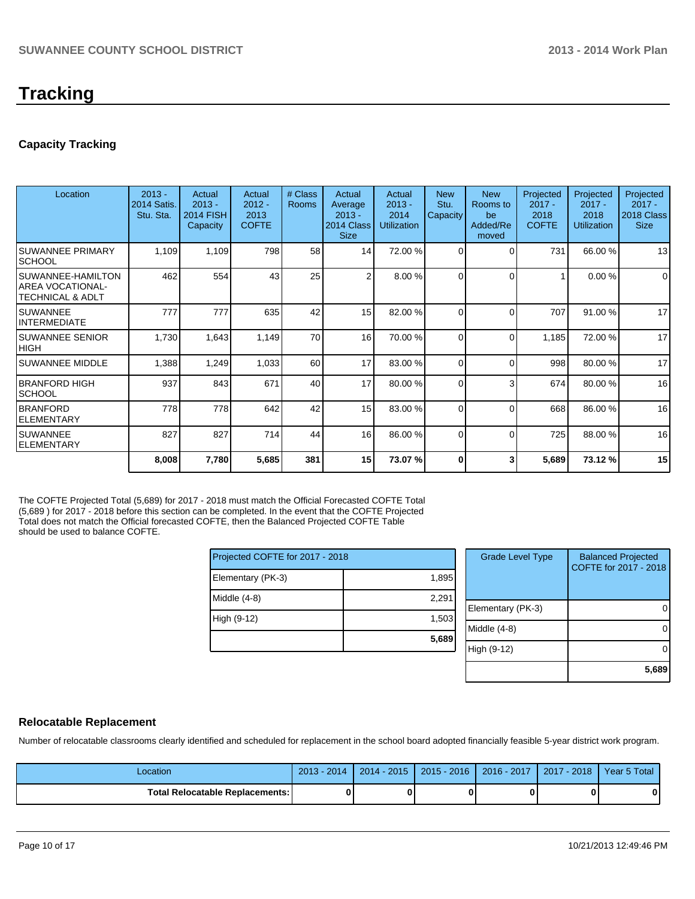#### **Capacity Tracking**

| Location                                                     | $2013 -$<br><b>2014 Satis.</b><br>Stu. Sta. | Actual<br>$2013 -$<br><b>2014 FISH</b><br>Capacity | Actual<br>$2012 -$<br>2013<br><b>COFTE</b> | # Class<br>Rooms | Actual<br>Average<br>$2013 -$<br>2014 Class<br><b>Size</b> | Actual<br>$2013 -$<br>2014<br><b>Utilization</b> | <b>New</b><br>Stu.<br>Capacity | <b>New</b><br>Rooms to<br>be<br>Added/Re<br>moved | Projected<br>$2017 -$<br>2018<br><b>COFTE</b> | Projected<br>$2017 -$<br>2018<br><b>Utilization</b> | Projected<br>$2017 -$<br>2018 Class<br><b>Size</b> |
|--------------------------------------------------------------|---------------------------------------------|----------------------------------------------------|--------------------------------------------|------------------|------------------------------------------------------------|--------------------------------------------------|--------------------------------|---------------------------------------------------|-----------------------------------------------|-----------------------------------------------------|----------------------------------------------------|
| <b>SUWANNEE PRIMARY</b><br><b>ISCHOOL</b>                    | 1,109                                       | 1,109                                              | 798                                        | 58               | 14                                                         | 72.00 %                                          | $\Omega$                       | $\Omega$                                          | 731                                           | 66.00 %                                             | 13                                                 |
| ISUWANNEE-HAMILTON<br>IAREA VOCATIONAL-<br>ITECHNICAL & ADLT | 462                                         | 554                                                | 43                                         | 25               | $\overline{2}$                                             | 8.00 %                                           | $\Omega$                       | $\Omega$                                          |                                               | 0.00%                                               | $\mathbf 0$                                        |
| ISUWANNEE<br>IINTERMEDIATE                                   | 777                                         | 777                                                | 635                                        | 42               | 15 <sup>1</sup>                                            | 82.00 %                                          | $\Omega$                       | $\Omega$                                          | 707                                           | 91.00 %                                             | 17                                                 |
| ISUWANNEE SENIOR<br> HIGH                                    | 1,730                                       | 1,643                                              | 1,149                                      | 70               | 16                                                         | 70.00 %                                          | $\Omega$                       | $\Omega$                                          | 1,185                                         | 72.00 %                                             | 17                                                 |
| <b>SUWANNEE MIDDLE</b>                                       | 1,388                                       | 1,249                                              | 1,033                                      | 60               | 17                                                         | 83.00 %                                          | $\Omega$                       | $\Omega$                                          | 998                                           | 80.00 %                                             | 17                                                 |
| IBRANFORD HIGH<br><b>SCHOOL</b>                              | 937                                         | 843                                                | 671                                        | 40               | 17                                                         | 80.00 %                                          | $\Omega$                       | 3                                                 | 674                                           | 80.00 %                                             | 16                                                 |
| <b>BRANFORD</b><br><b>ELEMENTARY</b>                         | 778                                         | 778                                                | 642                                        | 42               | 15 <sup>1</sup>                                            | 83.00 %                                          | $\Omega$                       | $\Omega$                                          | 668                                           | 86.00 %                                             | 16                                                 |
| ISUWANNEE<br><b>IELEMENTARY</b>                              | 827                                         | 827                                                | 714                                        | 44               | 16                                                         | 86.00 %                                          | $\Omega$                       | $\Omega$                                          | 725                                           | 88.00 %                                             | 16                                                 |
|                                                              | 8,008                                       | 7,780                                              | 5,685                                      | 381              | 15 <sup>1</sup>                                            | 73.07 %                                          | ŋ                              |                                                   | 5,689                                         | 73.12 %                                             | 15                                                 |

The COFTE Projected Total (5,689) for 2017 - 2018 must match the Official Forecasted COFTE Total (5,689 ) for 2017 - 2018 before this section can be completed. In the event that the COFTE Projected Total does not match the Official forecasted COFTE, then the Balanced Projected COFTE Table should be used to balance COFTE.

| Projected COFTE for 2017 - 2018 |       |  |  |  |  |
|---------------------------------|-------|--|--|--|--|
| Elementary (PK-3)               | 1,895 |  |  |  |  |
| Middle $(4-8)$                  | 2,291 |  |  |  |  |
| High (9-12)                     | 1,503 |  |  |  |  |
|                                 | 5,689 |  |  |  |  |

| <b>Grade Level Type</b> | <b>Balanced Projected</b><br>COFTE for 2017 - 2018 |
|-------------------------|----------------------------------------------------|
| Elementary (PK-3)       |                                                    |
| Middle (4-8)            |                                                    |
| High (9-12)             |                                                    |
|                         | 5,689                                              |

#### **Relocatable Replacement**

Number of relocatable classrooms clearly identified and scheduled for replacement in the school board adopted financially feasible 5-year district work program.

| Location                          | 2014<br>$2013 -$ | $2014 - 2015$ | 2015 - 2016 | $2016 - 2017$ | $2017 - 2018$ | Year 5 Total |
|-----------------------------------|------------------|---------------|-------------|---------------|---------------|--------------|
| Total Relocatable Replacements: I |                  |               |             |               |               |              |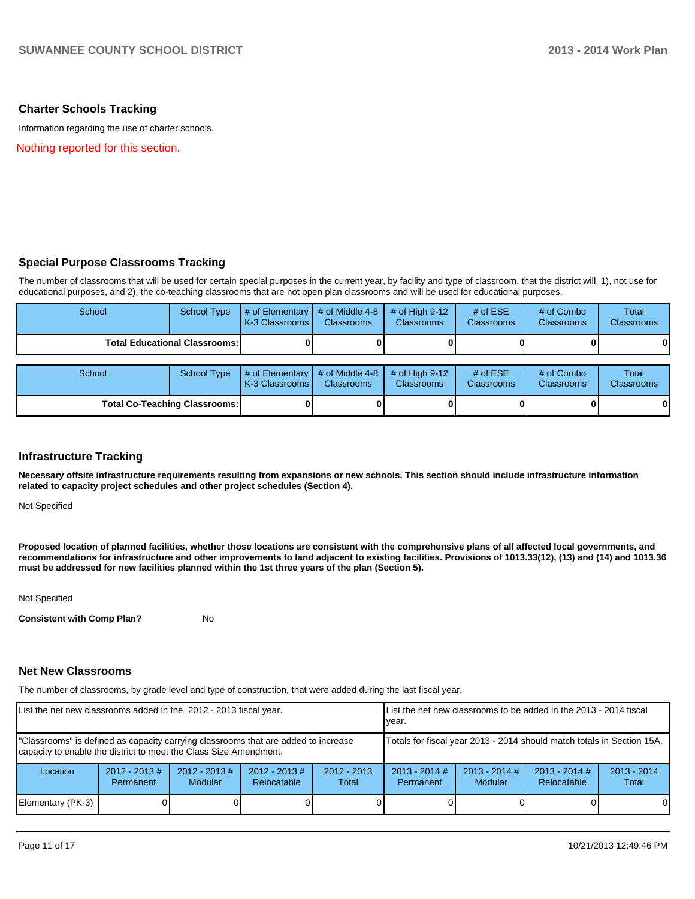#### **Charter Schools Tracking**

Information regarding the use of charter schools.

Nothing reported for this section.

#### **Special Purpose Classrooms Tracking**

The number of classrooms that will be used for certain special purposes in the current year, by facility and type of classroom, that the district will, 1), not use for educational purposes, and 2), the co-teaching classrooms that are not open plan classrooms and will be used for educational purposes.

| School                                 | School Type | $\parallel$ # of Elementary $\parallel$ # of Middle 4-8 $\parallel$ # of High 9-12<br><b>IK-3 Classrooms I</b> | <b>Classrooms</b> | <b>Classrooms</b> | # of $ESE$<br><b>Classrooms</b> | $#$ of Combo<br><b>Classrooms</b> | Total<br><b>Classrooms</b> |
|----------------------------------------|-------------|----------------------------------------------------------------------------------------------------------------|-------------------|-------------------|---------------------------------|-----------------------------------|----------------------------|
| <b>Total Educational Classrooms: I</b> |             |                                                                                                                |                   |                   |                                 | 0                                 | $\bf{0}$                   |

| School                               |  | School Type $\left  \frac{4}{7} \right $ of Elementary $\left  \frac{4}{7} \right $ of Middle 4-8 $\left  \frac{4}{7} \right $ of High 9-12<br><b>IK-3 Classrooms I</b> | <b>Classrooms</b> | <b>Classrooms</b> | # of $ESE$<br><b>Classrooms</b> | # of Combo<br><b>Classrooms</b> | Total<br><b>Classrooms</b> |
|--------------------------------------|--|-------------------------------------------------------------------------------------------------------------------------------------------------------------------------|-------------------|-------------------|---------------------------------|---------------------------------|----------------------------|
| <b>Total Co-Teaching Classrooms:</b> |  |                                                                                                                                                                         |                   |                   |                                 |                                 | 0                          |

#### **Infrastructure Tracking**

**Necessary offsite infrastructure requirements resulting from expansions or new schools. This section should include infrastructure information related to capacity project schedules and other project schedules (Section 4).**

Not Specified

**Proposed location of planned facilities, whether those locations are consistent with the comprehensive plans of all affected local governments, and recommendations for infrastructure and other improvements to land adjacent to existing facilities. Provisions of 1013.33(12), (13) and (14) and 1013.36 must be addressed for new facilities planned within the 1st three years of the plan (Section 5).**

Not Specified

**Consistent with Comp Plan?** No

#### **Net New Classrooms**

The number of classrooms, by grade level and type of construction, that were added during the last fiscal year.

| List the net new classrooms added in the 2012 - 2013 fiscal year.                                                                                       |                               |                                   |                                |                                                                        | List the net new classrooms to be added in the 2013 - 2014 fiscal<br>Ivear. |                                   |                                |                        |
|---------------------------------------------------------------------------------------------------------------------------------------------------------|-------------------------------|-----------------------------------|--------------------------------|------------------------------------------------------------------------|-----------------------------------------------------------------------------|-----------------------------------|--------------------------------|------------------------|
| "Classrooms" is defined as capacity carrying classrooms that are added to increase<br>capacity to enable the district to meet the Class Size Amendment. |                               |                                   |                                | Totals for fiscal year 2013 - 2014 should match totals in Section 15A. |                                                                             |                                   |                                |                        |
| Location                                                                                                                                                | $2012 - 2013 \#$<br>Permanent | $2012 - 2013$ #<br><b>Modular</b> | $2012 - 2013$ #<br>Relocatable | $2012 - 2013$<br>Total                                                 | $2013 - 2014$ #<br>Permanent                                                | $2013 - 2014$ #<br><b>Modular</b> | $2013 - 2014$ #<br>Relocatable | $2013 - 2014$<br>Total |
| Elementary (PK-3)                                                                                                                                       |                               |                                   |                                |                                                                        |                                                                             |                                   |                                | 0                      |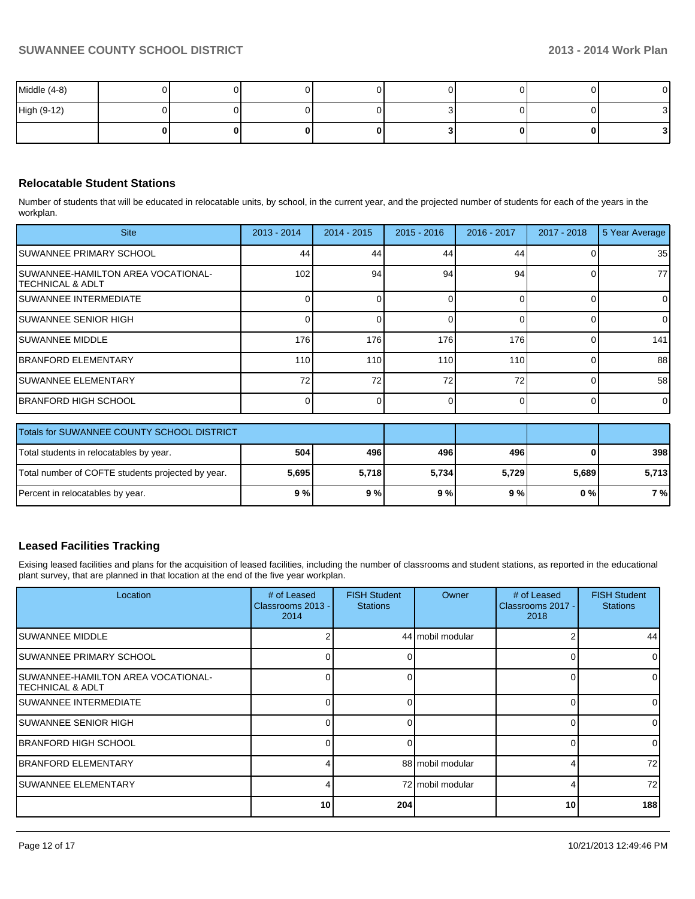| Middle (4-8) |  |  |  |  |
|--------------|--|--|--|--|
| High (9-12)  |  |  |  |  |
|              |  |  |  |  |

#### **Relocatable Student Stations**

Number of students that will be educated in relocatable units, by school, in the current year, and the projected number of students for each of the years in the workplan.

| <b>Site</b>                                                     | $2013 - 2014$    | $2014 - 2015$ | $2015 - 2016$ | 2016 - 2017 | 2017 - 2018 | 5 Year Average |
|-----------------------------------------------------------------|------------------|---------------|---------------|-------------|-------------|----------------|
| ISUWANNEE PRIMARY SCHOOL                                        | 44               | 44            | 44            | 44          |             | 35             |
| <b>ISUWANNEE-HAMILTON AREA VOCATIONAL-</b><br>ITECHNICAL & ADLT | 102              | 94            | 94            | 94          |             | 77             |
| <b>ISUWANNEE INTERMEDIATE</b>                                   |                  |               |               |             |             | $\overline{0}$ |
| <b>ISUWANNEE SENIOR HIGH</b>                                    |                  |               |               |             |             | $\Omega$       |
| <b>ISUWANNEE MIDDLE</b>                                         | 176              | 176           | 176           | 176         |             | 141            |
| <b>IBRANFORD ELEMENTARY</b>                                     | 110 <sup>1</sup> | 110           | 110           | 110         |             | 88             |
| <b>ISUWANNEE ELEMENTARY</b>                                     | 72 <sub>1</sub>  | 72            | 72            | 72          |             | 58             |
| <b>IBRANFORD HIGH SCHOOL</b>                                    |                  |               |               |             |             | $\overline{0}$ |

| Totals for SUWANNEE COUNTY SCHOOL DISTRICT        |       |       |       |       |       |       |
|---------------------------------------------------|-------|-------|-------|-------|-------|-------|
| Total students in relocatables by year.           | 504   | 496   | 496   | 496   |       | 398   |
| Total number of COFTE students projected by year. | 5,695 | 5.718 | 5,734 | 5.729 | 5.689 | 5,713 |
| Percent in relocatables by year.                  | 9 % l | 9%    | 9%    | 9 % l | 0 % I | 7 %   |

#### **Leased Facilities Tracking**

Exising leased facilities and plans for the acquisition of leased facilities, including the number of classrooms and student stations, as reported in the educational plant survey, that are planned in that location at the end of the five year workplan.

| Location                                                 | # of Leased<br>Classrooms 2013 -<br>2014 | <b>FISH Student</b><br><b>Stations</b> | Owner            | # of Leased<br>Classrooms 2017 -<br>2018 | <b>FISH Student</b><br><b>Stations</b> |
|----------------------------------------------------------|------------------------------------------|----------------------------------------|------------------|------------------------------------------|----------------------------------------|
| ISUWANNEE MIDDLE                                         |                                          |                                        | 44 mobil modular |                                          | 44                                     |
| SUWANNEE PRIMARY SCHOOL                                  | n١                                       |                                        |                  |                                          |                                        |
| ISUWANNEE-HAMILTON AREA VOCATIONAL-<br>ITECHNICAL & ADLT | 01                                       |                                        |                  |                                          |                                        |
| ISUWANNEE INTERMEDIATE                                   | 0                                        |                                        |                  |                                          |                                        |
| ISUWANNEE SENIOR HIGH                                    | ΩI                                       |                                        |                  |                                          |                                        |
| IBRANFORD HIGH SCHOOL                                    | ΩI                                       |                                        |                  |                                          | $\Omega$                               |
| IBRANFORD ELEMENTARY                                     | 41                                       |                                        | 88 mobil modular |                                          | 72                                     |
| ISUWANNEE ELEMENTARY                                     | 41                                       |                                        | 72 mobil modular |                                          | 72                                     |
|                                                          | 10 <sup>1</sup>                          | 204                                    |                  | 10                                       | 188                                    |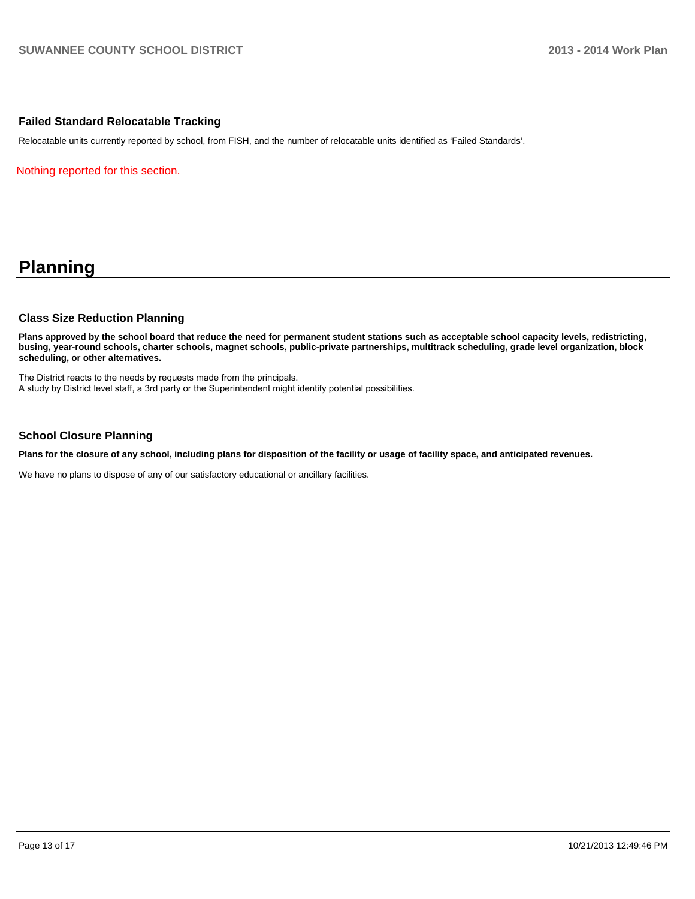#### **Failed Standard Relocatable Tracking**

Relocatable units currently reported by school, from FISH, and the number of relocatable units identified as 'Failed Standards'.

Nothing reported for this section.

## **Planning**

#### **Class Size Reduction Planning**

**Plans approved by the school board that reduce the need for permanent student stations such as acceptable school capacity levels, redistricting, busing, year-round schools, charter schools, magnet schools, public-private partnerships, multitrack scheduling, grade level organization, block scheduling, or other alternatives.**

The District reacts to the needs by requests made from the principals. A study by District level staff, a 3rd party or the Superintendent might identify potential possibilities.

#### **School Closure Planning**

**Plans for the closure of any school, including plans for disposition of the facility or usage of facility space, and anticipated revenues.**

We have no plans to dispose of any of our satisfactory educational or ancillary facilities.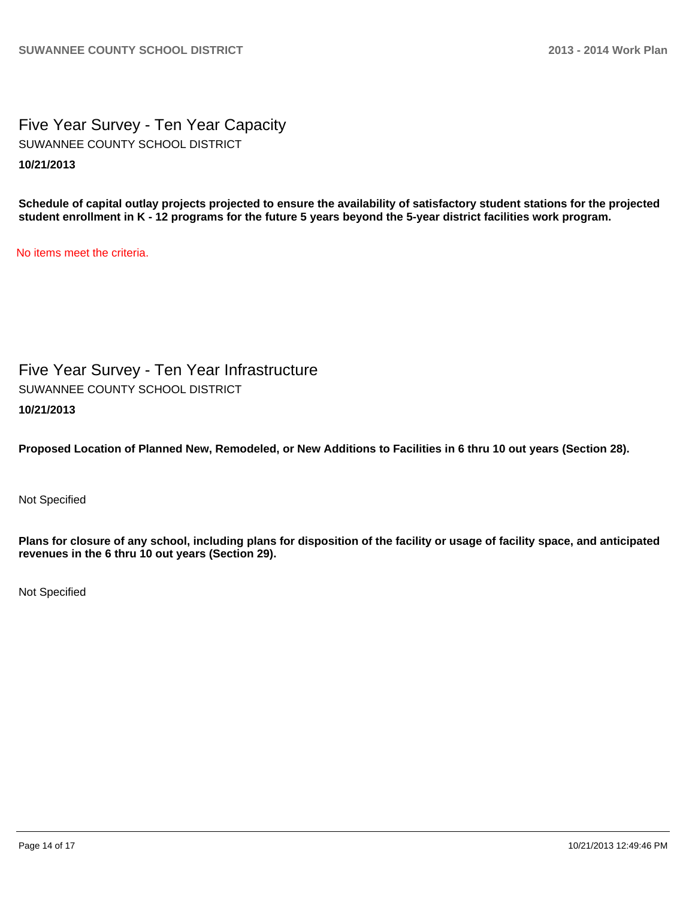Five Year Survey - Ten Year Capacity **10/21/2013** SUWANNEE COUNTY SCHOOL DISTRICT

**Schedule of capital outlay projects projected to ensure the availability of satisfactory student stations for the projected student enrollment in K - 12 programs for the future 5 years beyond the 5-year district facilities work program.**

No items meet the criteria.

Five Year Survey - Ten Year Infrastructure **10/21/2013** SUWANNEE COUNTY SCHOOL DISTRICT

**Proposed Location of Planned New, Remodeled, or New Additions to Facilities in 6 thru 10 out years (Section 28).**

Not Specified

**Plans for closure of any school, including plans for disposition of the facility or usage of facility space, and anticipated revenues in the 6 thru 10 out years (Section 29).**

Not Specified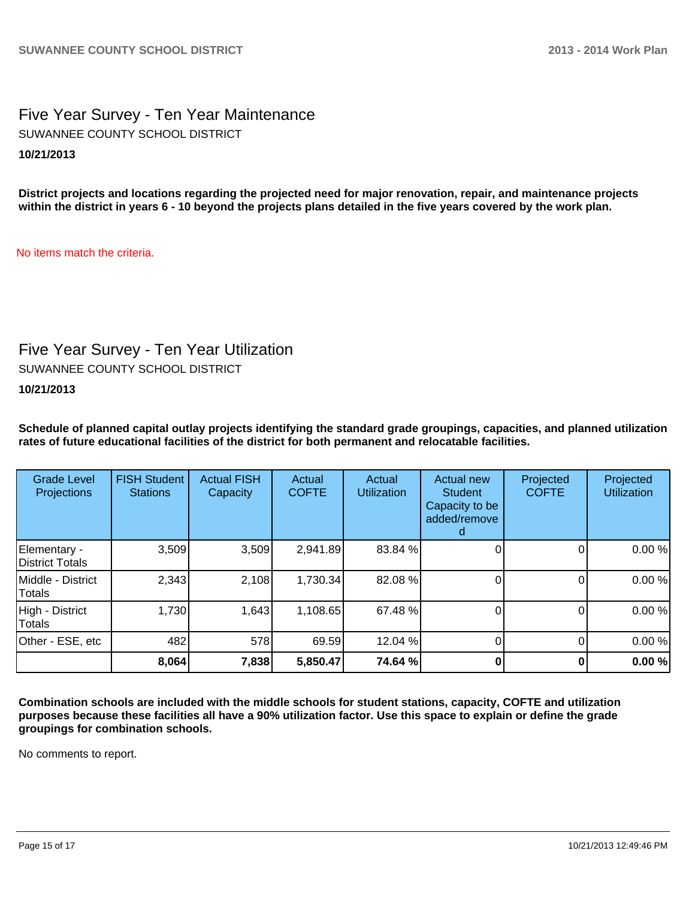Five Year Survey - Ten Year Maintenance **10/21/2013** SUWANNEE COUNTY SCHOOL DISTRICT

**District projects and locations regarding the projected need for major renovation, repair, and maintenance projects within the district in years 6 - 10 beyond the projects plans detailed in the five years covered by the work plan.**

No items match the criteria.

## Five Year Survey - Ten Year Utilization

SUWANNEE COUNTY SCHOOL DISTRICT

**10/21/2013**

**Schedule of planned capital outlay projects identifying the standard grade groupings, capacities, and planned utilization rates of future educational facilities of the district for both permanent and relocatable facilities.**

| <b>Grade Level</b><br>Projections | <b>FISH Student</b><br><b>Stations</b> | <b>Actual FISH</b><br>Capacity | Actual<br><b>COFTE</b> | Actual<br><b>Utilization</b> | Actual new<br><b>Student</b><br>Capacity to be<br>added/remove | Projected<br><b>COFTE</b> | Projected<br><b>Utilization</b> |
|-----------------------------------|----------------------------------------|--------------------------------|------------------------|------------------------------|----------------------------------------------------------------|---------------------------|---------------------------------|
| Elementary -<br>District Totals   | 3,509                                  | 3,509                          | 2,941.89               | 83.84 %                      |                                                                |                           | 0.00%                           |
| Middle - District<br>Totals       | 2,343                                  | 2,108                          | 1,730.34               | 82.08 %                      |                                                                |                           | 0.00%                           |
| High - District<br>Totals         | 1,730                                  | 1,643                          | 1,108.65               | 67.48 %                      |                                                                |                           | 0.00%                           |
| Other - ESE, etc                  | 482                                    | 578                            | 69.59                  | 12.04 %                      |                                                                |                           | 0.00%                           |
|                                   | 8,064                                  | 7,838                          | 5,850.47               | 74.64 %                      |                                                                |                           | 0.00%                           |

**Combination schools are included with the middle schools for student stations, capacity, COFTE and utilization purposes because these facilities all have a 90% utilization factor. Use this space to explain or define the grade groupings for combination schools.**

No comments to report.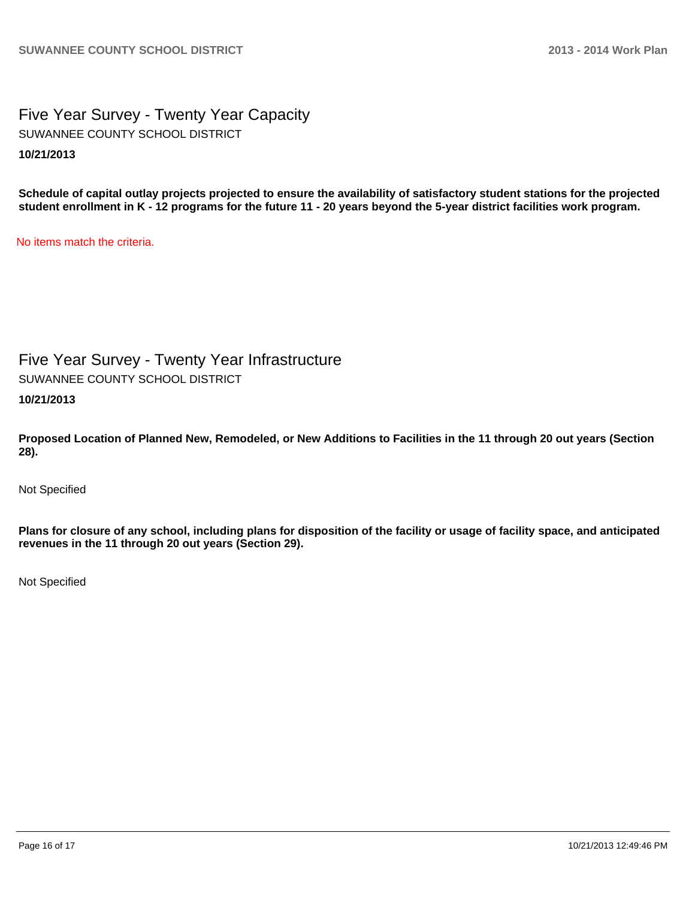Five Year Survey - Twenty Year Capacity **10/21/2013** SUWANNEE COUNTY SCHOOL DISTRICT

**Schedule of capital outlay projects projected to ensure the availability of satisfactory student stations for the projected student enrollment in K - 12 programs for the future 11 - 20 years beyond the 5-year district facilities work program.**

No items match the criteria.

Five Year Survey - Twenty Year Infrastructure

SUWANNEE COUNTY SCHOOL DISTRICT

**10/21/2013**

**Proposed Location of Planned New, Remodeled, or New Additions to Facilities in the 11 through 20 out years (Section 28).**

Not Specified

**Plans for closure of any school, including plans for disposition of the facility or usage of facility space, and anticipated revenues in the 11 through 20 out years (Section 29).**

Not Specified